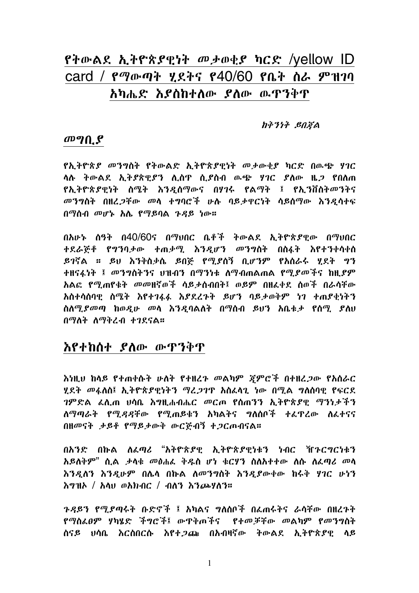# የትውልደ ኢትዮጵያዊነት መታወቂያ ካርድ /yellow ID card / የማውጣት ሂደትና የ40/60 የቤት ስራ ምዝገባ አካሔድ እያስከተለው ያለው ዉዋንቅዋ

#### ከቅንነት ይበጃል

### $\boldsymbol{\omega}$   $\boldsymbol{\eta}$   $\boldsymbol{\Omega}$

የኢትዮጵያ መንግስት የትውልድ ኢትዮጵያዊነት መታውቂያ ካርድ በውጭ ሃገር ሳሉ ትውልደ ኢትያጵዊያን ሊሰዋ ሲያስብ ዉጭ ሃገር ያስው ዜ*ጋ* የበስጠ <u>የኢትዮጵያዊነት ስሜት እንዲሰማውና በሃገሩ የልማት ፤ የኢንቨስትመንትና</u> መንግስት በዘረጋቸው መላ ተግባሮች ሁሉ ባይታዋርነት ሳይሰማው እንዲሳተፍ በማስብ መሆኑ አሌ የማይባል ጉዳይ ነው።

በአሁኑ ሰዓት በ40/60ና በማህበር ቤቶች ትውልደ ኢትዮጵያዊው በማህበር ተደራጅቶ የግንባታው ተጠቃሚ እንዲሆን መንግስት በስፋት እየተንቀሳቀሰ ይገኛል ። ይህ እንቅስቃሴ ይበኞ የሚያስኝ ቢሆንም የአስራሩ ሂደት ግን ተዘናፋነት ፤ መንግስትንና ህዝብን በማንነቱ ለማብጠልጠል የሚ*ያመች*ና ከዚ*ያም* አልፎ የሚጠየቁት መመዘኛወች ሳይታሰብበት፤ ወይም በዘፈቀደ ሰወች በራሳቸው አስተሳሰባዊ ስሜት እየተገፋፋ እያደረጉት ይሆን ባይታወቅም ነገ ተጠያቂነትን ስለሚያመጣ ከወዲሁ መላ እንዲባልለት በማሰብ ይህን አቤቱታ የሰሚ ያለህ በማለት ስማቅረብ ተገደናል።

# እየተከሰተ ያለው ውዋንቅዋ

እነዚህ ከላይ የተጠቀሱት ሁለት የተዘረጉ መልካም ጃምሮች በተዘረጋው የአሰራር ሂደት መፋለስ፤ ኢትዮጵያዊነትን ማረጋገጥ አስፈላጊ ነው በሚል ግለሰባዊ የፍርደ *ገ*ምድል *ሌ*ሊጠ ሀሳቤ እግዚሐብሔር መርጦ የሰጠንን ኢትዮጵያዊ ማንነታችን ለማጣራት የሚዳዳቸው የሚጠይቁን አካልትና ግለሰቦች ተፈዋረው ለፈተናና በዘመናት ታይቶ የማይታውቅ ውርጅብኝ ተጋርጦብናል።

በአንድ በኩል ለፈጣሪ "አትዮጵያዊ ኢትዮጵያዊነቱን ነብር ኸንርግርነቱን አይለቅም" ሲል ታላቁ መፅሐፌ ቅዱስ ሆነ ቁርሃን ስለአተተው ለሱ ለፌጣሪ መላ እንዲለን እንዲሁም በሌላ በኩል ለመንግስት እንዲያውቀው ከሩቅ ሃገር ሁነን  $\lambda$ ግዝኦ / አላህ ወአክብር / ብለን እንጮሃለን።

*ጉዳ*ይን የሚያጣሩት ቡድኖች ፤ አካልና ግለሰቦች በፌጠሩትና ራሳቸው በዘረጉት የማስፈፀም ሃካሄድ ችግሮች፤ ውዋቅጠችና የተመቻቸው መልካም የመንግስት ስናይ ሀሳቤ እርስበርሱ እየተ*ጋ*ጨ በአብዛኛው ትውልደ ኢትዮጵያዊ ላይ

1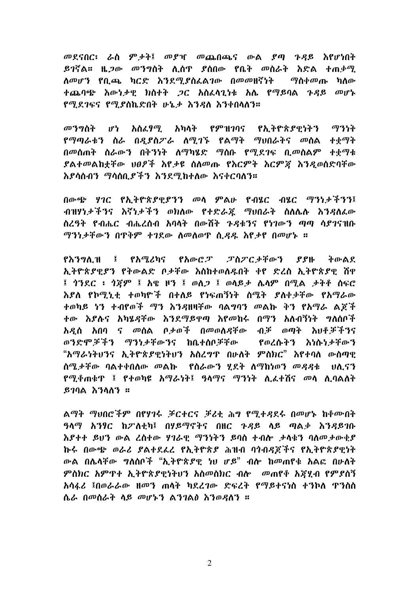መደናበር፡ ራስ ምታት፤ መያዣ መጨበጫና ውል ያጣ ጉዳይ እየሆነበት *ይገ*ኛል። ዜ*ጋው መንግ*ስት ሊሰዋ ያሰበው የቤት መስራት እድል ተጠቃሚ ለመሆን የቢጫ ካርድ እንደሚያስፈልገው በመመዘኛነት *ማ*ስቀመጡ ካለው ተጨባጭ እውነታዊ ክስተት ጋር አስፈላጊነቱ አሌ የማይባል ጉዳይ መሆኑ የሚደገፍና የሚያስኬድበት ሁኔታ እንዳለ እንቀበላለን።

መንግስት ሆነ አስፈፃማ አካለት የምዝገባና የአትዮጵያዋነትን ማንነት የማጣራቱን ስራ በ*ዳ*ያስፖራ ስሚገኙ የልማት ማህበራትና መሰል ተቋማት በመስጠት ስራውን በቅንነት ስማካሄድ ማስቡ የማደገፍ በመስልም ተቀማቱ ያልተመልከቷቸው ህፀፆች እየታዩ ስለመጡ የእርምት እርምጃ እንዲወሰድባቸው እያሳሰብን ማሳሰበያችን እንደማከተለው እናቀርባለን።

በውጭ ሃገር የኢትዮጵያዊያንን መላ ምልሁ የብሄር ብሄር ማንነታችንን፤ ብዝሃነታችንና እኛነታችን ወክለው የተድራጁ ማሀበራት ስለሌሉ እንዳለፌው ስረዓት የብሔር ብሔረሰብ አባላት በውሸት ጉዳቱንና የነገውን ጣጣ ሳያገናዝቡ ማንነታቸውን በዋቅም ተገደው ስመስወዋ ሲ*ዳ*ዱ እየታየ በመሆኑ ።

የእንግሊዝ ፤ የአሚረካና የአውሮፓ ፓስፓርታቸውን ያያዙ ትውልየ ኢትዮጵያዊያን የትውልድ ቦታቸው እስከተወለዱበት ቀየ ድረስ ኢትዮጵያዊ ሽዋ ፤ ጎንደር ፡ ጎጀም ፤ አዌ ዞን ፤ ወለጋ ፤ ወላይታ ሌላም በሚል ታትቶ ስፍሮ እያለ የኮሚኒቲ ተወካዮች በተለይ የነፍጠኝነት ስሜት ያለቀቃቸው የአማራው ተወካይ ነን ተብየወች *ማ*ን እንዳዘዛቸው ባል**ግባን መልኩ ቅን የአ**ማራ ልጆች ተው እያሉና አካሄዳቸው እንደማይዋጣ እየመከሩ በማን አለብኝነት ግለሰቦች አዲስ አበባ ና መስል ቦታወች በመወስዳቸው ብቻ ወጣት እህቶቻችንና ወንድሞቻችን ማንነታቸውንና ከቤተሰቦቻቸው የወረሱትን እነሱነታቸውን "አማራነትህንና ኢትዮጵያዊነትህን አስረግጥ በሁለት ምስክር" እየተባለ ውስጣዊ ስሜታቸው ባልተቀበለው መልኩ የስራውን ሂደት ለማከነወን መዳዳቱ ህሊናን <u>የሚቆጠቁጥ ፤ የተወካዩ አማራነት፤ ዓላማና ማንነት ሊፌተሽና መላ ሊባልለት</u>  $370A$  አንስለን ።

ልማት ማህበሮችም በየሃገሩ ቻርተርና ቻሪቲ ሕግ የሚተዳደሩ በመሆኑ ከቆሙበት ዓላማ አንፃር ከፖለቲካ፤ በሃይማኖትና በዘር ጉዳይ ላይ ጣልቃ እንዳይገቡ እያተተ ይህን ውል ረስተው ሃገራዊ ማንነትን ይባስ ተብሎ ታሳቁን ባስመታውቂያ ኩሩ በውጭ ወራሪ ያልተደፊረ የኢትዮጵያ ሕዝብ ባጎብዳጆችና የኢትዮጵያዊነት ውል በሌላቸው ግለሰቦች "ኢትዮጵያዊ ነህ ሆይ" ብሎ ከመጠየቁ አልፎ በሁለት ምስክር አምዋተ ኢትዮጵያዊነትህን አስመስክር ብሎ መጠየቆ አጃሂብ የምያስኝ አሳፋሪ ፤በወራራው ዘመን ጠሳት ካደረገው ድፍረት የማይተናነስ ተንኮስ ዋንስስ ሴራ በመስራት ላይ መሆኑን ልንገልፅ እንወዳለን ።

 $\overline{2}$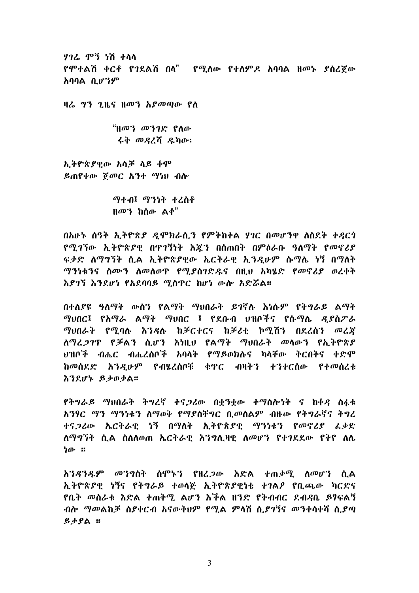ሃገሬ ምኝ ነሽ ተላላ የሞተልሽ ቀርቶ የገደልሽ በላ<sup>"</sup> የሚለው የተለምዶ አባባል ዘመኑ ያስረጀው አባባል ቢሆንም

ዛሬ ግን ጊዜና ዘመን አያመጣው የለ

"ዘመን መንገድ የስው ሩቅ መዳረሽ ዲካው፡

ኢትዮጵያዊው አሳቻ ላይ ቆም ይጠየቀው ሾመር አንተ ማነሀ ብሎ

> ማተብ፤ ማንነት ተረስቶ ዘመን ከሰው ልቆ"

በአሁኑ ሰዓት ኢትዮጵያ ዲሞክራሲን የምትከተል ሃገር በመሆንዋ ለስደት ተዳርጎ <u>የሚገኘው ኢትዮጵያዊ በዋገኝነት እጁን በስጠበት በምዕራቡ ዓለማት የመኖሪያ</u> ፍቃድ ለማግኘት ሲል ኢትዮጵያዊው ኤርትራዊ አግዳሁም ሱማሌ ነኝ በማለት ማንነቱንና ስሙን ስመስወዋ የሚያስገድዱና በዚህ አካሄድ የመኖሪያ ወረቀት እደገኘ እንደሆነ የአደባባይ ማስጥር ከሆነ ውሎ አድሯል።

በተለያዩ ዓለማት ውስን የልማት ማህበራት ይገኛሉ አነሱም የትግራይ ልማት *ማህበር፤ የአማራ ልማት ማህበር ፤ የደቡብ ህ*ዝቦችና የሱ*ማ*ሌ *ዳደስፖራ* ማሀበራት የሚባሉ እንዳሉ ከቻርተርና ከቻሪቲ ኮሚሽን በደረሰን መረጃ ለማረጋገጥ የቻልን ሲሆን እነዚህ የልማት ማሀበራት መላውን የኢትዮጵያ ህዝቦች ብሔር ብሔረሰቦች አባላት **የማ**ይወክሉና ካላቸው ቅርበትና ቀድሞ ከመሰደድ እንዲሁም የብሄረሰቦቹ ቁዋር ብዛትን ተንተርሰው የተመሰረቱ እንደሆኑ ይታወቃል።

የትግራይ ማህበራት ትግረኛ ተናጋሪው በቋንቋው ተማስሎነት ና ከቆዳ ስፋቱ አንፃር ማን ማንነቱን ስማወቅ የማያስቸግር ቢመስልም ብዙው የትግራኛና ትግረ ተና*ጋ*ሪው ኤርትራዊ ነኝ በማለት ኢትዮጵያዊ ማንነቱን የመኖሪያ ፈቃድ ለማግኘት ሲል ስስለወጠ ኤርትራዊ እንግሊዛዊ ለመሆን የተገደደው የትየ ስሌ ነው ።

አንዳንዱም መንግስት ስሞኑን የዘረጋው እድል ተጠቃሚ ስመሆን ሲል ኢትዮጵያዊ ነኝና የትግራይ ተወሳጅ ኢትዮጵያዊነቱ ተገልፆ የቢጫው ካርድና <u>የቤት መስራቱ እድል ተጠቅሚ ልሆን እችል ዘንድ የትብብር ደብዳቤ ይፃፍልኝ</u> ብሎ *ማመ*ልከቻ ስያቀርብ አናውቅህም የሚል ምላሽ ሲ*ያገ*ኝና መንቀሳቀሻ ሲያጣ  $g_f$   $g_f$ 

3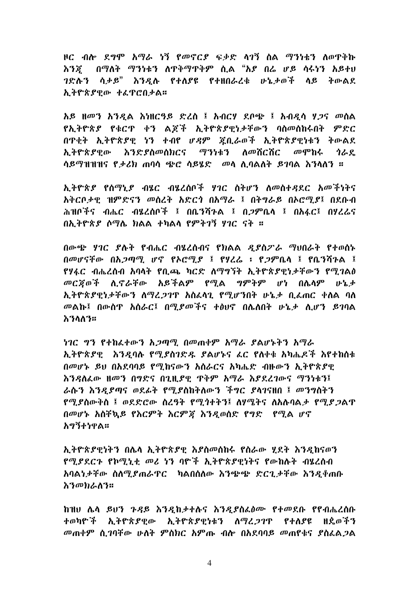ዞር ብሎ ደግሞ አማራ ነኝ የመኖርያ ፍቃድ ላገኝ ስል ማንነቴን ለወዋቅኩ እንጃ በማለት ማንነቱን ለዋቅማዋቅም ሲል "እያ በሬ ሆይ ሳሩነን አይተሀ *ገ*ድሉን ሳ*ታይ*" እንዲሉ የተለያዩ የተዘበራረቁ ሁኔታወች ላይ ትውልደ አትዮጵያዊው ተፈዋሮበታል።

አይ ዘመን አንዲል እነዘርዓይ ድረስ ፤ አብርሃ ደቦጭ ፤ አብዲሳ ሃጋና መስል የኢትዮጵያ የቁርጥ ቀን ልጆች ኢትዮጵያዊነታቸውን ባስመስከሩበት ምድር በዋቂት ኢትዮጵያዊ ነን ተብየ *ሆዳ*ም ጀቢራወች ኢትዮጵያዊነቱን ትውልደ አትዮጵያዋው እንድያስመስክርና ማንነቱን ስመሽርሽር መሞከሩ ሳራደ ሳይማዝዝዝና የታሪክ ጠባሳ ጭሮ ሳይሄድ - መላ ሊባልለት ይገባል አንላለን ፡፡

ኢትዮጵያ የሰማኒያ ብሄር ብሄረሰቦች ሃገር ስትሆን ለመስተዳደር አመችነትና አቅርቦታዊ ዝምድናን መስረት አድርጎ በአማራ ፤ በትግራይ በኦሮሚያ፤ በደቡብ ሕዝቦችና ብሔር ብሄረሰቦች ፤ በቤንሻጉል ፤ በ*ጋ*ምቤላ ፤ በአፋር፤ በሃረሬና በኢትዮጵያ ሶማሌ ክልል ተካልሳ የምትገኝ ሃገር ናት ።

በውጭ ሃገር ያሉት የብሔር ብሄረሰብና የክልል ዲያስፖራ ማህበራት የተወሰኑ በመሆናቸው በአ*ጋ*ጣ*ሚ ሆኖ የኦሮሚ* ያ ፤ የሃረራ ፡ የ*ጋም*ቤላ ፤ የቤንሻንል ፤ የሃፋር ብሔረሰብ አባላት የቢጫ ካርድ ለማግኘት ኢትዮጵያዊነታቸውን የሚገልፅ መርጀወች ሲኖራቸው አይችልም የሚል ግምትም ሆነ በሌላም ሁኔታ ኢትዮጵያዊነታቸውን ስማረጋገዋ አስፌሳጊ የሚሆንበት ሁኔታ ቢፌጠር ቀስል ባስ መልኩ፤ በውስጥ አስራር፤ በሚደመችና ተፅህኖ በሌለበት ሁኔታ ሊሆን ይገባል እንስስን።

ነገር ግን የተከፈተውን አጋጣሚ በመጠቀም አማራ ያልሆኑትን አማራ ኢትዮጵያዊ እንዳባሉ የሚደስገድዱ ያልሆኑና ፊር የለቀቁ አካሔዶች እየተከሰቱ በመሆኑ ይህ በአደባባይ የሚከናውን አስራርና አካሔድ ብዙውን ኢትዮጵያዊ እንዳለፌው ዘመን በግድና በጊዚያዊ ጥቅም አማራ እያደረገውና ማንነቱን፤ ራሱን እንዲያጣና ወደፊት የሚያስከትለውን ችግር ያላገናዘበ ፤ መንግስትን <u>የሚ</u>ያስውቅስ ፤ ወደድሮው ስረዓት የሚጎተትን፤ ስሃሜትና ስአሉባል*ታ* የሚ*ያጋ*ልጥ በመሆኑ አስቸኳይ የእርምት እርምጃ እንዳወሰድ የግድ የሚል ሆኖ <u>አግኝተነዋል።</u>

ኢትዮጵያዊነትን በሌላ ኢትዮጵያዊ እያስመሰከሩ የስራው ሂደት እንዲከናወን የሚያደርጉ የኮሚኒቲ መሪ ነን ባዮች ኢትዮጵያዊነትና የውከሉት ብሄረሰብ አባልነታቸው ስለሚያጠራዋር ከልበሰለው እንጭጭ ድርጊታቸው እንዲቀጠቡ እንመክራለን።

ከዝሀ ሌላ ይህን ጉዳይ እንዲከታተሉና እንዲያስፌፅሙ የተመደቡ የየብሔረሰቡ ተወካዮች ኢትዮጵያዊው ኢትዮጵያዊነቱን ስማረ*ጋገ*ጥ የተስያዩ ዘደወችን መጠቀም ሲገባቸው ሁለት ምስክር አምጡ ብሎ በአደባባይ መጠየቁና ያስፌልጋል

 $\overline{4}$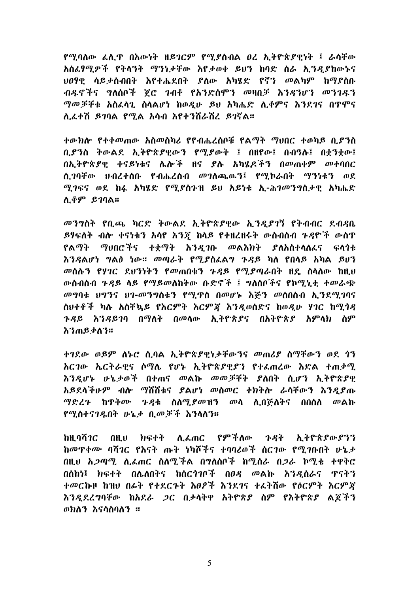የሚባለው ፈሊጥ በእውነት ዘይገርም የሚያስብል ፀረ ኢትዮጵያዊነት ፤ ራሳችው አስፈፃሚዎች የትላንት ማንነታቸው እየታወቀ ይህን ከባድ ስራ ኢንዲያከውኑና *ህፀ*ፃዊ ሳይ*ታ*ሰብበት እየተሔደበት ያለው አካሄድ የኛን መልካም ከማያስቡ ብዱኖችና ግለሰቦች ጀሮ ገብቶ የአንድስሞን መዛበቻ እንዳንሆን መንገዱን ማመቻቸቱ አስፈላጊ ስላልሆነ ከወዲሁ ይህ አካሔድ ሊቆምና እንደገና በጥሞና ለፊታሽ ይገባል የሚል አሳብ እየታንሽራሽረ ይገኛል።

ተውክሎ የተቀመጠው አስመስካሪ የየብሔረሰቦቹ የልማት ማህበር ተወካይ ቢያንስ ቢያንስ ትውልደ ኢትዮጵያዊውን የሚያውቅ ፤ በዘየው፤ በብዓሉ፤ በቀንቀው፤ በኢትዮጵያዊ ቀናይነቱና ሌሎች ዘና ያሉ አካሄዶችን በመጠቀም መተባበር ስ ገባቸው ህብረተሰቡ የብሔረሰብ መገለጨዉጓ፤ የማከራበት ማንነቱን ወደ ሚገፍና ወደ ከፋ አካሄድ የሚያስጉዝ ይህ አይነቱ ኢ-ሕገመንግስታዊ አካሔድ <u>ሊቆም ይገባል።</u>

መንግስት የቢጫ ካርድ ትውልደ ኢትዮጵያዊው ኢንዲያገኝ የትብብር ደብዳቤ ይፃፍለት ብሎ ቀናነቱን አሳየ እ*ንጃ* ከላይ የተዘረዘሩት ውስብስብ *ጉዳ*ዮች ውስዋ የልማት ማህበሮችና ተቋማት እንዲገቡ መልእክት ያለአስተላለፊና ፍላጎቱ እንዳልሆነ ግልፅ ነው። መጣራት የሚያስፌልግ ጉዳይ ካለ የበላይ አካል ይሀን መሰሉን የሃገር ደህንነትን የመጠበቁን ጉዳይ የሚያጣራበት ዘዴ ስላለው ከዚህ ውስብስብ ጉዳይ ላይ የማይመለከትው ቡድኖች ፤ ግለሰቦችና የኮሚኒቲ ተመራጭ *መግ*ባቱ ህግንና ህገ-መንግስቱን የሚዋስ በመሆኑ እጅን መሰበስብ ኢንደሚገባና ስህተቶች ካሉ አስቸኳይ የእርምት እርምጃ እንዲወሰድና ከወዲሁ ሃገር ከሚጎዳ *ጉዳ*ይ እን*ዳ*ይገባ በማለት በመላው ኢትዮጵ*ያ*ና በአትዮጵ*ያ* አምላክ ስም እንጠይቃስን።

ተገደው ወይም ለኑሮ ሲባል ኢትዮጵያዊነታቸውንና መጠሪያ ስማቸውን ወደ ጎን <u>አርገው ኤርትራዊና ሶማሌ የሆኑ ኢትዮጵያዊያን የተፈጠረው እድል ተጠቃሚ</u> እንዲሆኑ ሁኔታወች በተጠና መልኩ መመቻቸት ያለበት ሲሆን ኢትዮጵያዊ አይደላችሁም ብሎ ማሽሽቱና ያልሆነ መስመር ተክትሎ ራሳቸውን እንዳያጡ *ማድረጉ* ከዋቅሙ *ጉዳ*ቱ ስለሚ*ያ*መዝን መላ ሊበጅለትና በበሰለ መልኩ የማስተናገዴበት ሁኔታ በመቻች እንስለን።

በዚህ ክፍተት ሊፈጠር የምችለው ጉዳት ኢትዮጵያውያንን ከዘ ባሽ*ገር* ከመዋቀሙ ባሻገር የእናት ጡት ነካሾችና ተባባሪወች ስርገው የሚገቡበት ሁኔታ በዚህ አ*ጋጣሚ. ሊፌ*ጠር ስለሚችል በግለሰቦች ከሚሰራ በ*ጋ*ራ ኮሚቴ ተዋቅሮ በሰከነ፤ ክፍተት በሌለበትና ከሰርጎገቦች በፀዳ መልኩ እንዳሰራና ጥናትን ተመርኩዞ ከዝሀ በፊት የተደርጉት እፀፆች እንደገና ተፈትሽው የዕርምት እርምጃ እንዳደረግባቸው ከአደራ ጋር በታላቅዋ አትዮጵያ ስም የእትዮጵያ ልጆችን ወክለን እናሳስባለን ።

 $\mathfrak{S}$